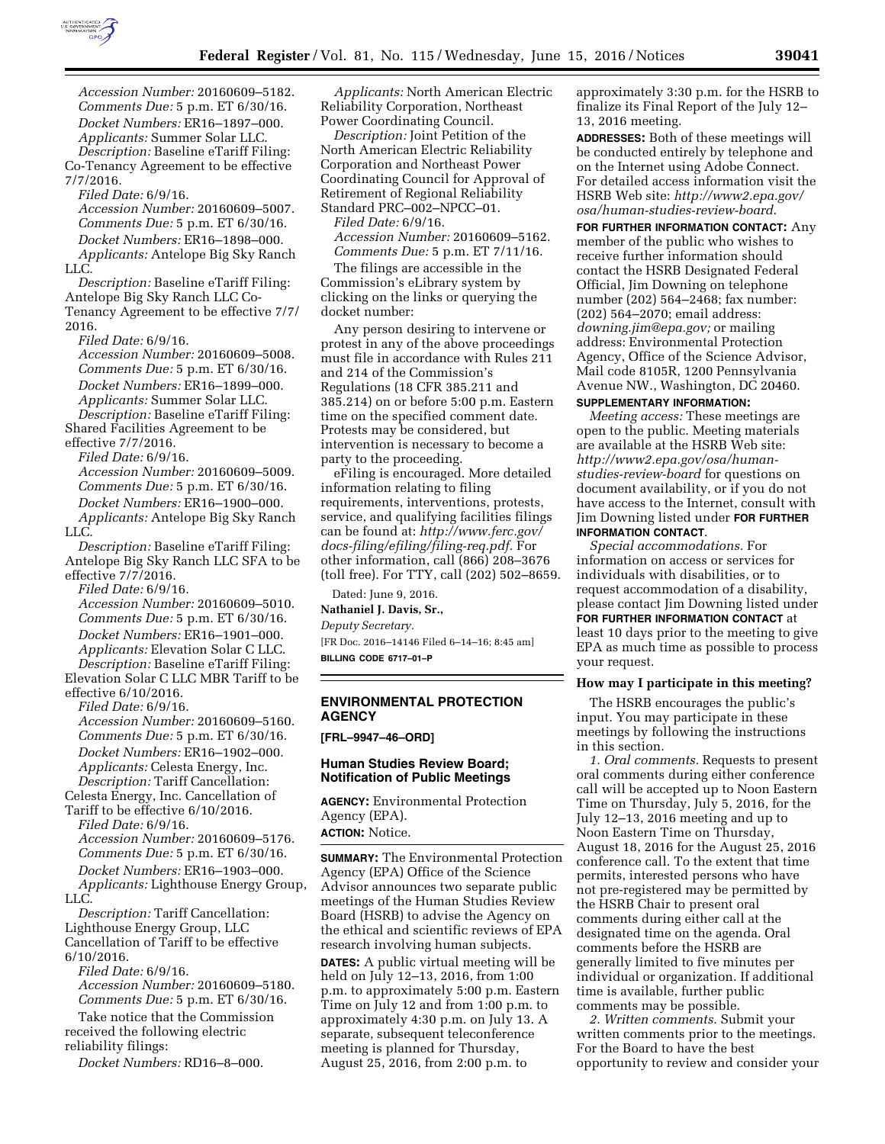

*Accession Number:* 20160609–5182. *Comments Due:* 5 p.m. ET 6/30/16. *Docket Numbers:* ER16–1897–000. *Applicants:* Summer Solar LLC.

*Description:* Baseline eTariff Filing: Co-Tenancy Agreement to be effective 7/7/2016.

*Filed Date:* 6/9/16.

*Accession Number:* 20160609–5007. *Comments Due:* 5 p.m. ET 6/30/16. *Docket Numbers:* ER16–1898–000. *Applicants:* Antelope Big Sky Ranch LLC.

*Description:* Baseline eTariff Filing: Antelope Big Sky Ranch LLC Co-Tenancy Agreement to be effective 7/7/ 2016.

*Filed Date:* 6/9/16.

*Accession Number:* 20160609–5008. *Comments Due:* 5 p.m. ET 6/30/16. *Docket Numbers:* ER16–1899–000. *Applicants:* Summer Solar LLC.

*Description:* Baseline eTariff Filing: Shared Facilities Agreement to be effective 7/7/2016.

*Filed Date:* 6/9/16.

*Accession Number:* 20160609–5009. *Comments Due:* 5 p.m. ET 6/30/16. *Docket Numbers:* ER16–1900–000. *Applicants:* Antelope Big Sky Ranch LLC.

*Description:* Baseline eTariff Filing: Antelope Big Sky Ranch LLC SFA to be effective 7/7/2016.

*Filed Date:* 6/9/16. *Accession Number:* 20160609–5010. *Comments Due:* 5 p.m. ET 6/30/16. *Docket Numbers:* ER16–1901–000. *Applicants:* Elevation Solar C LLC. *Description:* Baseline eTariff Filing:

Elevation Solar C LLC MBR Tariff to be effective 6/10/2016.

*Filed Date:* 6/9/16.

*Accession Number:* 20160609–5160. *Comments Due:* 5 p.m. ET 6/30/16. *Docket Numbers:* ER16–1902–000. *Applicants:* Celesta Energy, Inc. *Description:* Tariff Cancellation:

Celesta Energy, Inc. Cancellation of

Tariff to be effective 6/10/2016. *Filed Date:* 6/9/16. *Accession Number:* 20160609–5176. *Comments Due:* 5 p.m. ET 6/30/16. *Docket Numbers:* ER16–1903–000. *Applicants:* Lighthouse Energy Group, LLC.

*Description:* Tariff Cancellation: Lighthouse Energy Group, LLC Cancellation of Tariff to be effective 6/10/2016.

*Filed Date:* 6/9/16. *Accession Number:* 20160609–5180. *Comments Due:* 5 p.m. ET 6/30/16.

Take notice that the Commission received the following electric reliability filings:

*Docket Numbers:* RD16–8–000.

*Applicants:* North American Electric Reliability Corporation, Northeast Power Coordinating Council.

*Description:* Joint Petition of the North American Electric Reliability Corporation and Northeast Power Coordinating Council for Approval of Retirement of Regional Reliability Standard PRC–002–NPCC–01. *Filed Date:* 6/9/16.

*Accession Number:* 20160609–5162. *Comments Due:* 5 p.m. ET 7/11/16.

The filings are accessible in the Commission's eLibrary system by clicking on the links or querying the docket number:

Any person desiring to intervene or protest in any of the above proceedings must file in accordance with Rules 211 and 214 of the Commission's Regulations (18 CFR 385.211 and 385.214) on or before 5:00 p.m. Eastern time on the specified comment date. Protests may be considered, but intervention is necessary to become a party to the proceeding.

eFiling is encouraged. More detailed information relating to filing requirements, interventions, protests, service, and qualifying facilities filings can be found at: *[http://www.ferc.gov/](http://www.ferc.gov/docs-filing/efiling/filing-req.pdf) [docs-filing/efiling/filing-req.pdf.](http://www.ferc.gov/docs-filing/efiling/filing-req.pdf)* For other information, call (866) 208–3676 (toll free). For TTY, call (202) 502–8659.

Dated: June 9, 2016. **Nathaniel J. Davis, Sr.,**  *Deputy Secretary.*  [FR Doc. 2016–14146 Filed 6–14–16; 8:45 am] **BILLING CODE 6717–01–P** 

# **ENVIRONMENTAL PROTECTION AGENCY**

**[FRL–9947–46–ORD]** 

### **Human Studies Review Board; Notification of Public Meetings**

**AGENCY:** Environmental Protection Agency (EPA). **ACTION:** Notice.

**SUMMARY:** The Environmental Protection Agency (EPA) Office of the Science Advisor announces two separate public meetings of the Human Studies Review Board (HSRB) to advise the Agency on the ethical and scientific reviews of EPA research involving human subjects. **DATES:** A public virtual meeting will be held on July 12–13, 2016, from 1:00 p.m. to approximately 5:00 p.m. Eastern Time on July 12 and from 1:00 p.m. to approximately 4:30 p.m. on July 13. A separate, subsequent teleconference meeting is planned for Thursday, August 25, 2016, from 2:00 p.m. to

approximately 3:30 p.m. for the HSRB to finalize its Final Report of the July 12– 13, 2016 meeting.

**ADDRESSES:** Both of these meetings will be conducted entirely by telephone and on the Internet using Adobe Connect. For detailed access information visit the HSRB Web site: *[http://www2.epa.gov/](http://www2.epa.gov/osa/human-studies-review-board) [osa/human-studies-review-board](http://www2.epa.gov/osa/human-studies-review-board)*.

**FOR FURTHER INFORMATION CONTACT:** Any member of the public who wishes to receive further information should contact the HSRB Designated Federal Official, Jim Downing on telephone number (202) 564–2468; fax number: (202) 564–2070; email address: *[downing.jim@epa.gov;](mailto:downing.jim@epa.gov)* or mailing address: Environmental Protection Agency, Office of the Science Advisor, Mail code 8105R, 1200 Pennsylvania Avenue NW., Washington, DC 20460.

### **SUPPLEMENTARY INFORMATION:**

*Meeting access:* These meetings are open to the public. Meeting materials are available at the HSRB Web site: *[http://www2.epa.gov/osa/human](http://www2.epa.gov/osa/human-studies-review-board)[studies-review-board](http://www2.epa.gov/osa/human-studies-review-board)* for questions on document availability, or if you do not have access to the Internet, consult with Jim Downing listed under **FOR FURTHER INFORMATION CONTACT**.

*Special accommodations.* For information on access or services for individuals with disabilities, or to request accommodation of a disability, please contact Jim Downing listed under **FOR FURTHER INFORMATION CONTACT** at least 10 days prior to the meeting to give EPA as much time as possible to process your request.

#### **How may I participate in this meeting?**

The HSRB encourages the public's input. You may participate in these meetings by following the instructions in this section.

*1. Oral comments.* Requests to present oral comments during either conference call will be accepted up to Noon Eastern Time on Thursday, July 5, 2016, for the July 12–13, 2016 meeting and up to Noon Eastern Time on Thursday, August 18, 2016 for the August 25, 2016 conference call. To the extent that time permits, interested persons who have not pre-registered may be permitted by the HSRB Chair to present oral comments during either call at the designated time on the agenda. Oral comments before the HSRB are generally limited to five minutes per individual or organization. If additional time is available, further public comments may be possible.

*2. Written comments.* Submit your written comments prior to the meetings. For the Board to have the best opportunity to review and consider your